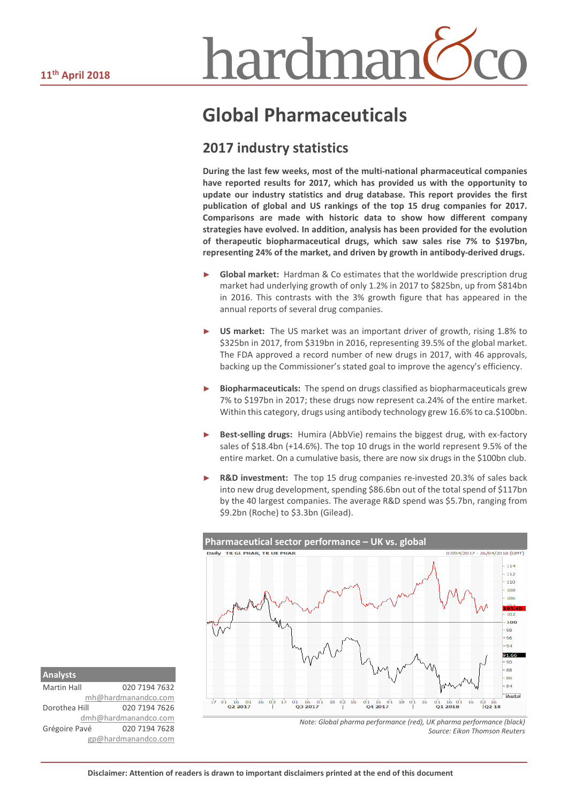# hardman<sup>(</sup>

### **Global Pharmaceuticals**

#### **2017 industry statistics**

**During the last few weeks, most of the multi-national pharmaceutical companies have reported results for 2017, which has provided us with the opportunity to update our industry statistics and drug database. This report provides the first publication of global and US rankings of the top 15 drug companies for 2017. Comparisons are made with historic data to show how different company strategies have evolved. In addition, analysis has been provided for the evolution of therapeutic biopharmaceutical drugs, which saw sales rise 7% to \$197bn, representing 24% of the market, and driven by growth in antibody-derived drugs.**

- ► **Global market:** Hardman & Co estimates that the worldwide prescription drug market had underlying growth of only 1.2% in 2017 to \$825bn, up from \$814bn in 2016. This contrasts with the 3% growth figure that has appeared in the annual reports of several drug companies.
- **US market:** The US market was an important driver of growth, rising 1.8% to \$325bn in 2017, from \$319bn in 2016, representing 39.5% of the global market. The FDA approved a record number of new drugs in 2017, with 46 approvals, backing up the Commissioner's stated goal to improve the agency's efficiency.
- ► **Biopharmaceuticals:** The spend on drugs classified as biopharmaceuticals grew 7% to \$197bn in 2017; these drugs now represent ca.24% of the entire market. Within this category, drugs using antibody technology grew 16.6% to ca.\$100bn.
- Best-selling drugs: Humira (AbbVie) remains the biggest drug, with ex-factory sales of \$18.4bn (+14.6%). The top 10 drugs in the world represent 9.5% of the entire market. On a cumulative basis, there are now six drugs in the \$100bn club.
- **R&D investment:** The top 15 drug companies re-invested 20.3% of sales back into new drug development, spending \$86.6bn out of the total spend of \$117bn by the 40 largest companies. The average R&D spend was \$5.7bn, ranging from \$9.2bn (Roche) to \$3.3bn (Gilead).



Martin Hall 020 7194 7632 [mh@hardmanandco.com](mailto:mh@hardmanandco.com) Dorothea Hill 020 7194 7626 [dmh@hardmanandco.com](mailto:dmh@hardmanandco.com) Grégoire Pavé 020 7194 7628 gp@hardmanandco.com

*Note: Global pharma performance (red), UK pharma performance (black) Source: Eikon Thomson Reuters*

**Analysts**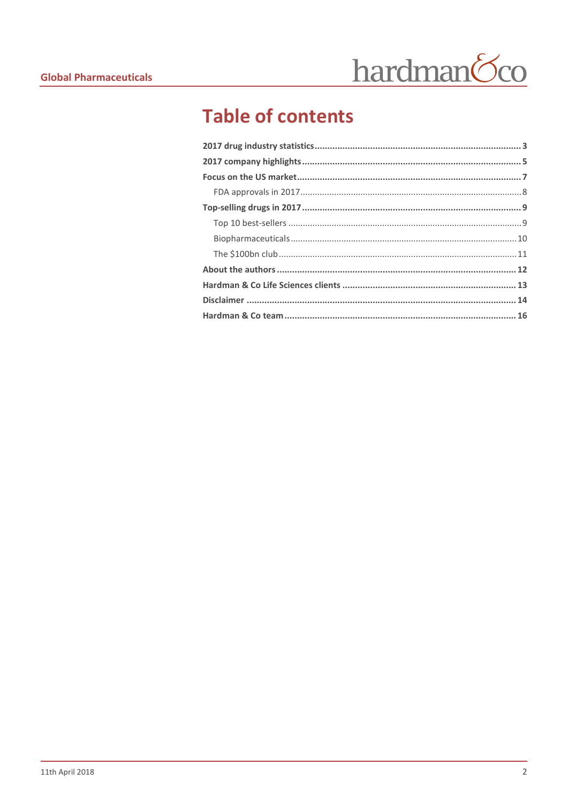

### **Table of contents**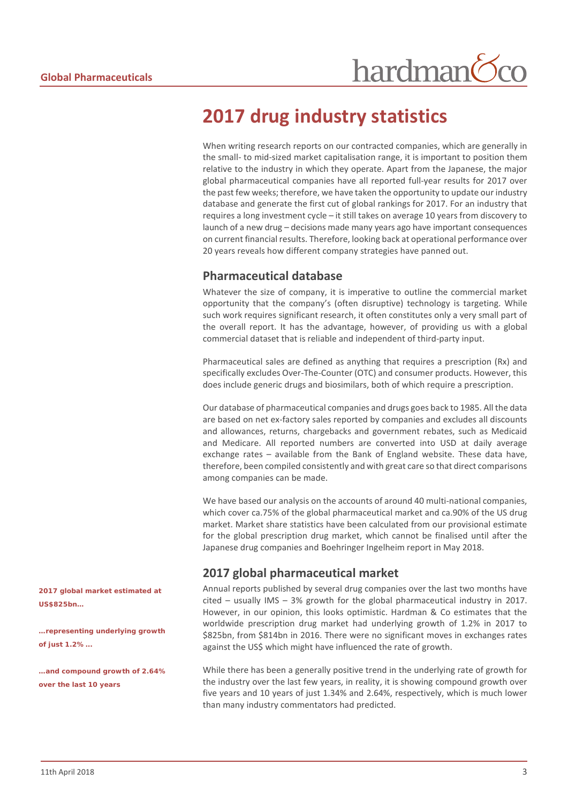#### <span id="page-2-0"></span>**2017 drug industry statistics**

When writing research reports on our contracted companies, which are generally in the small- to mid-sized market capitalisation range, it is important to position them relative to the industry in which they operate. Apart from the Japanese, the major global pharmaceutical companies have all reported full-year results for 2017 over the past few weeks; therefore, we have taken the opportunity to update our industry database and generate the first cut of global rankings for 2017. For an industry that requires a long investment cycle – it still takes on average 10 years from discovery to launch of a new drug – decisions made many years ago have important consequences on current financial results. Therefore, looking back at operational performance over 20 years reveals how different company strategies have panned out.

#### **Pharmaceutical database**

Whatever the size of company, it is imperative to outline the commercial market opportunity that the company's (often disruptive) technology is targeting. While such work requires significant research, it often constitutes only a very small part of the overall report. It has the advantage, however, of providing us with a global commercial dataset that is reliable and independent of third-party input.

Pharmaceutical sales are defined as anything that requires a prescription (Rx) and specifically excludes Over-The-Counter (OTC) and consumer products. However, this does include generic drugs and biosimilars, both of which require a prescription.

Our database of pharmaceutical companies and drugs goes back to 1985. All the data are based on net ex-factory sales reported by companies and excludes all discounts and allowances, returns, chargebacks and government rebates, such as Medicaid and Medicare. All reported numbers are converted into USD at daily average exchange rates – available from the Bank of England website. These data have, therefore, been compiled consistently and with great care so that direct comparisons among companies can be made.

We have based our analysis on the accounts of around 40 multi-national companies, which cover ca.75% of the global pharmaceutical market and ca.90% of the US drug market. Market share statistics have been calculated from our provisional estimate for the global prescription drug market, which cannot be finalised until after the Japanese drug companies and Boehringer Ingelheim report in May 2018.

#### **2017 global pharmaceutical market**

Annual reports published by several drug companies over the last two months have cited – usually IMS – 3% growth for the global pharmaceutical industry in 2017. However, in our opinion, this looks optimistic. Hardman & Co estimates that the worldwide prescription drug market had underlying growth of 1.2% in 2017 to \$825bn, from \$814bn in 2016. There were no significant moves in exchanges rates against the US\$ which might have influenced the rate of growth.

While there has been a generally positive trend in the underlying rate of growth for the industry over the last few years, in reality, it is showing compound growth over five years and 10 years of just 1.34% and 2.64%, respectively, which is much lower than many industry commentators had predicted.

*2017 global market estimated at US\$825bn…*

*…representing underlying growth of just 1.2%...*

*…and compound growth of 2.64% over the last 10 years*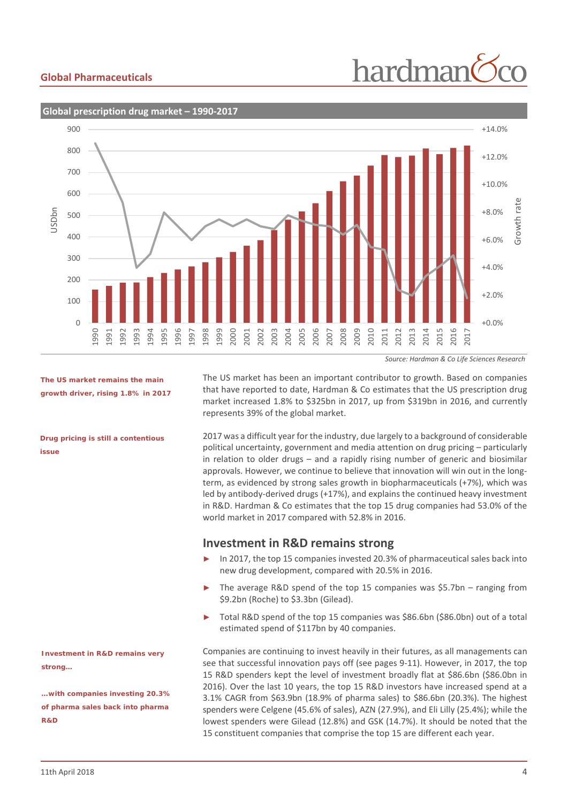## hardman



*The US market remains the main growth driver, rising 1.8% in 2017*

*Drug pricing is still a contentious issue*

*Investment in R&D remains very strong…*

*…with companies investing 20.3% of pharma sales back into pharma R&D*

The US market has been an important contributor to growth. Based on companies that have reported to date, Hardman & Co estimates that the US prescription drug market increased 1.8% to \$325bn in 2017, up from \$319bn in 2016, and currently represents 39% of the global market.

2017 was a difficult year for the industry, due largely to a background of considerable political uncertainty, government and media attention on drug pricing – particularly in relation to older drugs – and a rapidly rising number of generic and biosimilar approvals. However, we continue to believe that innovation will win out in the longterm, as evidenced by strong sales growth in biopharmaceuticals (+7%), which was led by antibody-derived drugs (+17%), and explains the continued heavy investment in R&D. Hardman & Co estimates that the top 15 drug companies had 53.0% of the world market in 2017 compared with 52.8% in 2016.

#### **Investment in R&D remains strong**

- In 2017, the top 15 companies invested 20.3% of pharmaceutical sales back into new drug development, compared with 20.5% in 2016.
- The average R&D spend of the top 15 companies was  $$5.7$ bn ranging from \$9.2bn (Roche) to \$3.3bn (Gilead).
- ► Total R&D spend of the top 15 companies was \$86.6bn (\$86.0bn) out of a total estimated spend of \$117bn by 40 companies.

Companies are continuing to invest heavily in their futures, as all managements can see that successful innovation pays off (see pages 9-11). However, in 2017, the top 15 R&D spenders kept the level of investment broadly flat at \$86.6bn (\$86.0bn in 2016). Over the last 10 years, the top 15 R&D investors have increased spend at a 3.1% CAGR from \$63.9bn (18.9% of pharma sales) to \$86.6bn (20.3%). The highest spenders were Celgene (45.6% of sales), AZN (27.9%), and Eli Lilly (25.4%); while the lowest spenders were Gilead (12.8%) and GSK (14.7%). It should be noted that the 15 constituent companies that comprise the top 15 are different each year.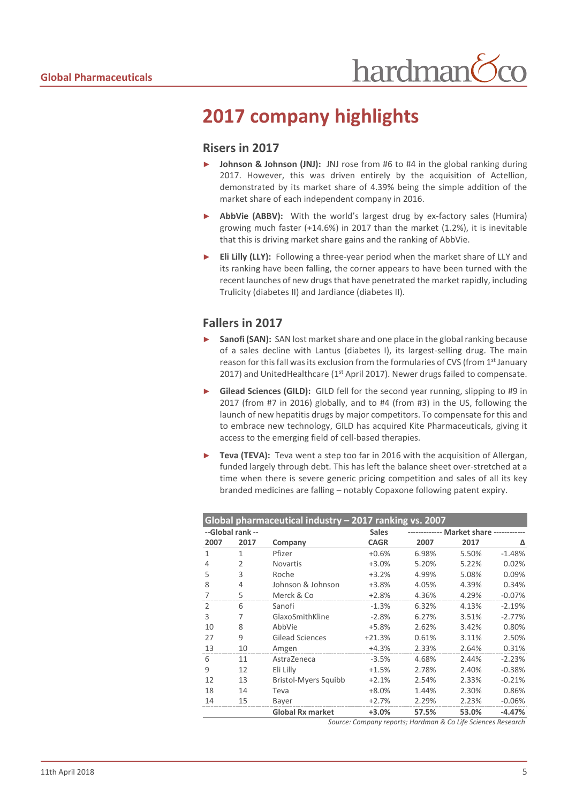#### <span id="page-4-0"></span>**2017 company highlights**

#### **Risers in 2017**

- **Johnson & Johnson (JNJ):** JNJ rose from #6 to #4 in the global ranking during 2017. However, this was driven entirely by the acquisition of Actellion, demonstrated by its market share of 4.39% being the simple addition of the market share of each independent company in 2016.
- ► **AbbVie (ABBV):** With the world's largest drug by ex-factory sales (Humira) growing much faster (+14.6%) in 2017 than the market (1.2%), it is inevitable that this is driving market share gains and the ranking of AbbVie.
- ► **Eli Lilly (LLY):** Following a three-year period when the market share of LLY and its ranking have been falling, the corner appears to have been turned with the recent launches of new drugs that have penetrated the market rapidly, including Trulicity (diabetes II) and Jardiance (diabetes II).

#### **Fallers in 2017**

- **Sanofi (SAN):** SAN lost market share and one place in the global ranking because of a sales decline with Lantus (diabetes I), its largest-selling drug. The main reason for this fall was its exclusion from the formularies of CVS (from 1<sup>st</sup> January 2017) and UnitedHealthcare (1<sup>st</sup> April 2017). Newer drugs failed to compensate.
- ► **Gilead Sciences (GILD):** GILD fell for the second year running, slipping to #9 in 2017 (from #7 in 2016) globally, and to #4 (from #3) in the US, following the launch of new hepatitis drugs by major competitors. To compensate for this and to embrace new technology, GILD has acquired Kite Pharmaceuticals, giving it access to the emerging field of cell-based therapies.
- **Teva (TEVA):** Teva went a step too far in 2016 with the acquisition of Allergan, funded largely through debt. This has left the balance sheet over-stretched at a time when there is severe generic pricing competition and sales of all its key branded medicines are falling – notably Copaxone following patent expiry.

| Global pharmaceutical industry - 2017 ranking vs. 2007 |                |                         |              |       |                                      |          |  |  |
|--------------------------------------------------------|----------------|-------------------------|--------------|-------|--------------------------------------|----------|--|--|
| --Global rank --                                       |                |                         | <b>Sales</b> |       | ---------- Market share ------------ |          |  |  |
| 2007                                                   | 2017           | Company                 | <b>CAGR</b>  | 2007  | 2017                                 | Δ        |  |  |
| $\mathbf{1}$                                           | $\mathbf{1}$   | Pfizer                  | $+0.6%$      | 6.98% | 5.50%                                | $-1.48%$ |  |  |
| 4                                                      | $\overline{2}$ | <b>Novartis</b>         | $+3.0%$      | 5.20% | 5.22%                                | 0.02%    |  |  |
| 5                                                      | 3              | Roche                   | $+3.2%$      | 4.99% | 5.08%                                | 0.09%    |  |  |
| 8                                                      | 4              | Johnson & Johnson       | $+3.8%$      | 4.05% | 4.39%                                | 0.34%    |  |  |
| 7                                                      | 5              | Merck & Co              | $+2.8%$      | 4.36% | 4.29%                                | $-0.07%$ |  |  |
| $\overline{2}$                                         | 6              | Sanofi                  | $-1.3%$      | 6.32% | 4.13%                                | $-2.19%$ |  |  |
| 3                                                      | 7              | GlaxoSmithKline         | $-2.8%$      | 6.27% | 3.51%                                | $-2.77%$ |  |  |
| 10                                                     | 8              | AbbVie                  | +5.8%        | 2.62% | 3.42%                                | 0.80%    |  |  |
| 27                                                     | 9              | <b>Gilead Sciences</b>  | $+21.3%$     | 0.61% | 3.11%                                | 2.50%    |  |  |
| 13                                                     | 10             | Amgen                   | $+4.3%$      | 2.33% | 2.64%                                | 0.31%    |  |  |
| 6                                                      | 11             | AstraZeneca             | $-3.5%$      | 4.68% | 2.44%                                | $-2.23%$ |  |  |
| 9                                                      | 12             | Eli Lilly               | $+1.5%$      | 2.78% | 2.40%                                | $-0.38%$ |  |  |
| 12                                                     | 13             | Bristol-Myers Squibb    | $+2.1%$      | 2.54% | 2.33%                                | $-0.21%$ |  |  |
| 18                                                     | 14             | Teva                    | $+8.0%$      | 1.44% | 2.30%                                | 0.86%    |  |  |
| 14                                                     | 15             | Bayer                   | $+2.7%$      | 2.29% | 2.23%                                | $-0.06%$ |  |  |
|                                                        |                | <b>Global Rx market</b> | $+3.0%$      | 57.5% | 53.0%                                | $-4.47%$ |  |  |

*Source: Company reports; Hardman & Co Life Sciences Research*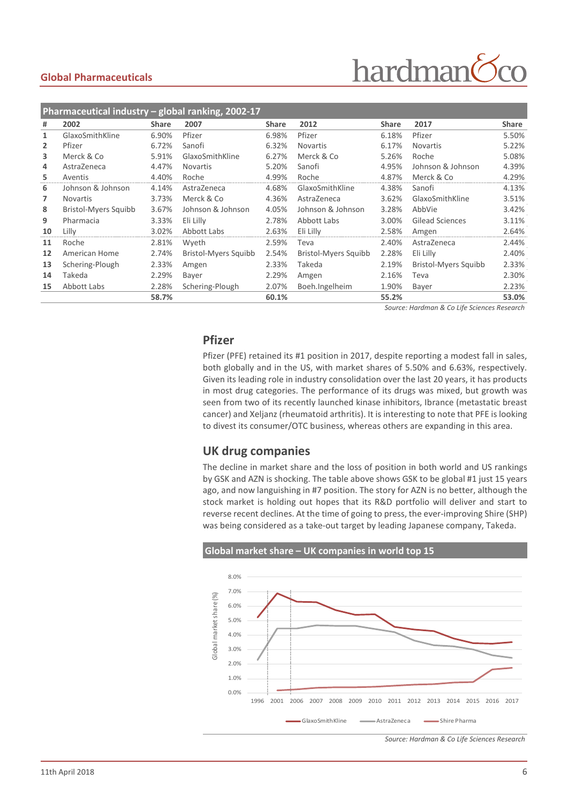### hardman

| Pharmaceutical industry - global ranking, 2002-17 |                      |              |                      |              |                      |              |                      |              |
|---------------------------------------------------|----------------------|--------------|----------------------|--------------|----------------------|--------------|----------------------|--------------|
| #                                                 | 2002                 | <b>Share</b> | 2007                 | <b>Share</b> | 2012                 | <b>Share</b> | 2017                 | <b>Share</b> |
| 1                                                 | GlaxoSmithKline      | 6.90%        | Pfizer               | 6.98%        | Pfizer               | 6.18%        | Pfizer               | 5.50%        |
| $\overline{2}$                                    | Pfizer               | 6.72%        | Sanofi               | 6.32%        | <b>Novartis</b>      | 6.17%        | <b>Novartis</b>      | 5.22%        |
| 3                                                 | Merck & Co           | 5.91%        | GlaxoSmithKline      | 6.27%        | Merck & Co           | 5.26%        | Roche                | 5.08%        |
| 4                                                 | AstraZeneca          | 4.47%        | <b>Novartis</b>      | 5.20%        | Sanofi               | 4.95%        | Johnson & Johnson    | 4.39%        |
| 5                                                 | Aventis              | 4.40%        | Roche                | 4.99%        | Roche                | 4.87%        | Merck & Co           | 4.29%        |
| 6                                                 | Johnson & Johnson    | 4.14%        | AstraZeneca          | 4.68%        | GlaxoSmithKline      | 4.38%        | Sanofi               | 4.13%        |
| 7                                                 | <b>Novartis</b>      | 3.73%        | Merck & Co           | 4.36%        | AstraZeneca          | 3.62%        | GlaxoSmithKline      | 3.51%        |
| 8                                                 | Bristol-Myers Squibb | 3.67%        | Johnson & Johnson    | 4.05%        | Johnson & Johnson    | 3.28%        | AbbVie               | 3.42%        |
| 9                                                 | Pharmacia            | 3.33%        | Eli Lilly            | 2.78%        | Abbott Labs          | 3.00%        | Gilead Sciences      | 3.11%        |
| 10                                                | Lilly                | 3.02%        | Abbott Labs          | 2.63%        | Eli Lilly            | 2.58%        | Amgen                | 2.64%        |
| 11                                                | Roche                | 2.81%        | Wyeth                | 2.59%        | Teva                 | 2.40%        | AstraZeneca          | 2.44%        |
| 12                                                | American Home        | 2.74%        | Bristol-Myers Squibb | 2.54%        | Bristol-Myers Squibb | 2.28%        | Eli Lilly            | 2.40%        |
| 13                                                | Schering-Plough      | 2.33%        | Amgen                | 2.33%        | Takeda               | 2.19%        | Bristol-Myers Squibb | 2.33%        |
| 14                                                | Takeda               | 2.29%        | Bayer                | 2.29%        | Amgen                | 2.16%        | Teva                 | 2.30%        |
| 15                                                | Abbott Labs          | 2.28%        | Schering-Plough      | 2.07%        | Boeh.Ingelheim       | 1.90%        | Bayer                | 2.23%        |
|                                                   |                      | 58.7%        |                      | 60.1%        |                      | 55.2%        |                      | 53.0%        |

*Source: Hardman & Co Life Sciences Research*

#### **Pfizer**

Pfizer (PFE) retained its #1 position in 2017, despite reporting a modest fall in sales, both globally and in the US, with market shares of 5.50% and 6.63%, respectively. Given its leading role in industry consolidation over the last 20 years, it has products in most drug categories. The performance of its drugs was mixed, but growth was seen from two of its recently launched kinase inhibitors, Ibrance (metastatic breast cancer) and Xeljanz (rheumatoid arthritis). It is interesting to note that PFE is looking to divest its consumer/OTC business, whereas others are expanding in this area.

#### **UK drug companies**

The decline in market share and the loss of position in both world and US rankings by GSK and AZN is shocking. The table above shows GSK to be global #1 just 15 years ago, and now languishing in #7 position. The story for AZN is no better, although the stock market is holding out hopes that its R&D portfolio will deliver and start to reverse recent declines. At the time of going to press, the ever-improving Shire (SHP) was being considered as a take-out target by leading Japanese company, Takeda.

**Global market share – UK companies in world top 15** 8.0% 7.0% ---------------------------------------------------------------------------------------- Global market share (%) Global market share (%) 6.0% 5.0% 4.0% 3.0% 2.0% 1.0% 0.0% 1996 2001 2006 2007 2008 2009 2010 2011 2012 2013 2014 2015 2016 2017 GlaxoSmithKline AstraZeneca Shire Pharma

*Source: Hardman & Co Life Sciences Research*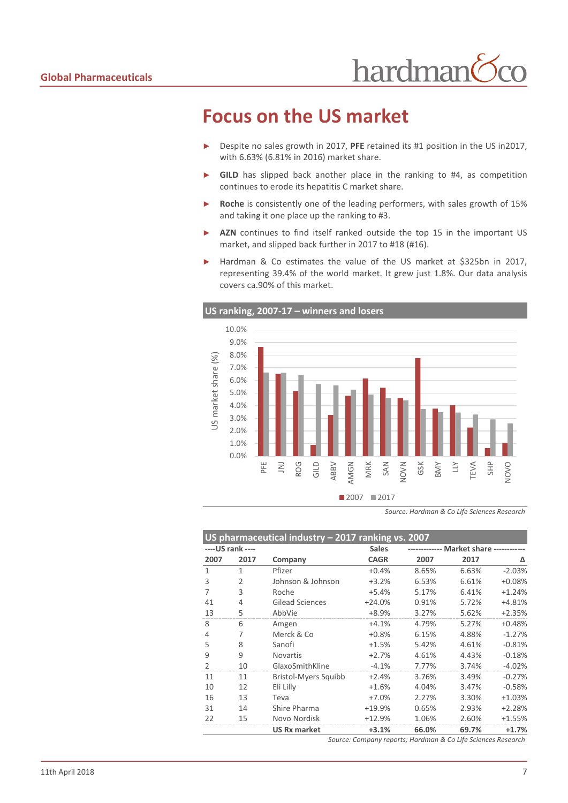#### <span id="page-6-0"></span>**Focus on the US market**

- ► Despite no sales growth in 2017, **PFE** retained its #1 position in the US in2017, with 6.63% (6.81% in 2016) market share.
- ► **GILD** has slipped back another place in the ranking to #4, as competition continues to erode its hepatitis C market share.
- ► **Roche** is consistently one of the leading performers, with sales growth of 15% and taking it one place up the ranking to #3.
- ► **AZN** continues to find itself ranked outside the top 15 in the important US market, and slipped back further in 2017 to #18 (#16).
- ► Hardman & Co estimates the value of the US market at \$325bn in 2017, representing 39.4% of the world market. It grew just 1.8%. Our data analysis covers ca.90% of this market.



*Source: Hardman & Co Life Sciences Research*

|               | US pharmaceutical industry - 2017 ranking vs. 2007 |                             |              |                                  |       |          |  |  |
|---------------|----------------------------------------------------|-----------------------------|--------------|----------------------------------|-------|----------|--|--|
|               | ---- US rank ----                                  |                             | <b>Sales</b> | <b>Market share ------------</b> |       |          |  |  |
| 2007          | 2017                                               | Company                     | <b>CAGR</b>  | 2007                             | 2017  | Δ        |  |  |
| 1             | 1                                                  | Pfizer                      | $+0.4%$      | 8.65%                            | 6.63% | $-2.03%$ |  |  |
| 3             | $\overline{2}$                                     | Johnson & Johnson           | $+3.2%$      | 6.53%                            | 6.61% | $+0.08%$ |  |  |
| 7             | 3                                                  | Roche                       | $+5.4%$      | 5.17%                            | 6.41% | $+1.24%$ |  |  |
| 41            | 4                                                  | <b>Gilead Sciences</b>      | $+24.0%$     | 0.91%                            | 5.72% | +4.81%   |  |  |
| 13            | 5                                                  | AbbVie                      | $+8.9%$      | 3.27%                            | 5.62% | $+2.35%$ |  |  |
| 8             | 6                                                  | Amgen                       | $+4.1%$      | 4.79%                            | 5.27% | $+0.48%$ |  |  |
| 4             | 7                                                  | Merck & Co                  | $+0.8%$      | 6.15%                            | 4.88% | $-1.27%$ |  |  |
| 5             | 8                                                  | Sanofi                      | $+1.5%$      | 5.42%                            | 4.61% | $-0.81%$ |  |  |
| 9             | 9                                                  | <b>Novartis</b>             | $+2.7%$      | 4.61%                            | 4.43% | $-0.18%$ |  |  |
| $\mathcal{P}$ | 10                                                 | GlaxoSmithKline             | $-4.1%$      | 7.77%                            | 3.74% | $-4.02%$ |  |  |
| 11            | 11                                                 | <b>Bristol-Myers Squibb</b> | $+2.4%$      | 3.76%                            | 3.49% | $-0.27%$ |  |  |
| 10            | 12                                                 | Eli Lilly                   | $+1.6%$      | 4.04%                            | 3.47% | $-0.58%$ |  |  |
| 16            | 13                                                 | Teva                        | $+7.0%$      | 2.27%                            | 3.30% | $+1.03%$ |  |  |
| 31            | 14                                                 | Shire Pharma                | +19.9%       | 0.65%                            | 2.93% | $+2.28%$ |  |  |
| 22            | 15                                                 | Novo Nordisk                | $+12.9%$     | 1.06%                            | 2.60% | $+1.55%$ |  |  |
|               |                                                    | <b>US Rx market</b>         | $+3.1%$      | 66.0%                            | 69.7% | $+1.7%$  |  |  |

*Source: Company reports; Hardman & Co Life Sciences Research*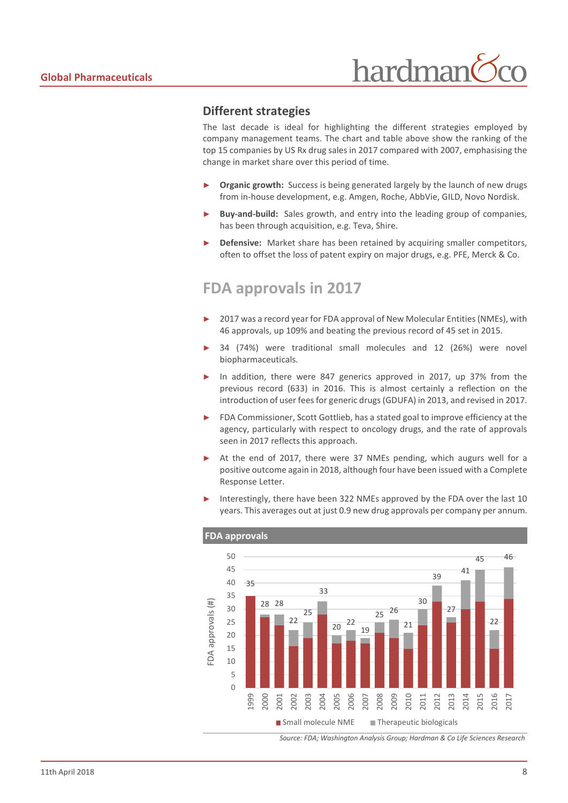

#### **Different strategies**

The last decade is ideal for highlighting the different strategies employed by company management teams. The chart and table above show the ranking of the top 15 companies by US Rx drug sales in 2017 compared with 2007, emphasising the change in market share over this period of time.

- **Organic growth:** Success is being generated largely by the launch of new drugs from in-house development, e.g. Amgen, Roche, AbbVie, GILD, Novo Nordisk.
- Buy-and-build: Sales growth, and entry into the leading group of companies, has been through acquisition, e.g. Teva, Shire.
- **Defensive:** Market share has been retained by acquiring smaller competitors, often to offset the loss of patent expiry on major drugs, e.g. PFE, Merck & Co.

#### <span id="page-7-0"></span>**FDA approvals in 2017**

- 2017 was a record year for FDA approval of New Molecular Entities (NMEs), with 46 approvals, up 109% and beating the previous record of 45 set in 2015.
- 34 (74%) were traditional small molecules and 12 (26%) were novel biopharmaceuticals.
- In addition, there were 847 generics approved in 2017, up 37% from the previous record (633) in 2016. This is almost certainly a reflection on the introduction of user fees for generic drugs (GDUFA) in 2013, and revised in 2017.
- FDA Commissioner, Scott Gottlieb, has a stated goal to improve efficiency at the agency, particularly with respect to oncology drugs, and the rate of approvals seen in 2017 reflects this approach.
- At the end of 2017, there were 37 NMEs pending, which augurs well for a positive outcome again in 2018, although four have been issued with a Complete Response Letter.
- Interestingly, there have been 322 NMEs approved by the FDA over the last 10 years. This averages out at just 0.9 new drug approvals per company per annum.



*Source: FDA; Washington Analysis Group; Hardman & Co Life Sciences Research*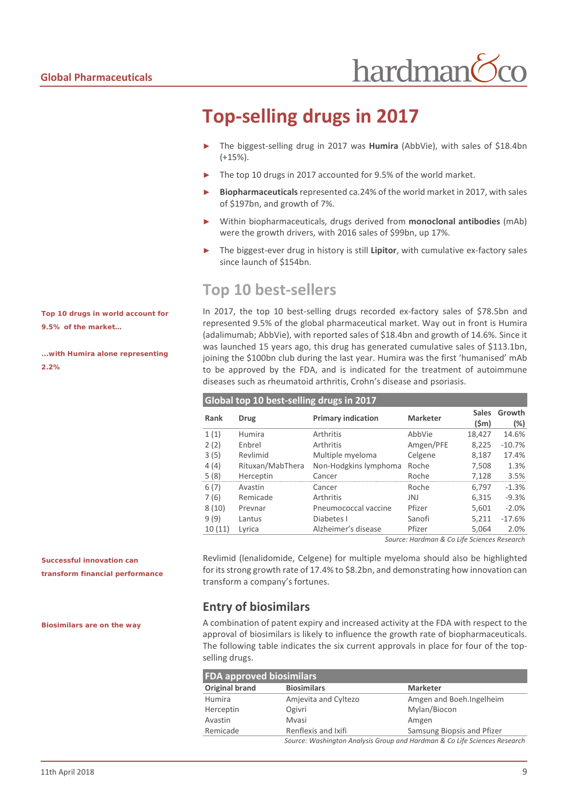### <span id="page-8-0"></span>**Top-selling drugs in 2017**

- The biggest-selling drug in 2017 was Humira (AbbVie), with sales of \$18.4bn (+15%).
- The top 10 drugs in 2017 accounted for 9.5% of the world market.
- ► **Biopharmaceuticals**represented ca.24% of the world market in 2017, with sales of \$197bn, and growth of 7%.
- ► Within biopharmaceuticals, drugs derived from **monoclonal antibodies** (mAb) were the growth drivers, with 2016 sales of \$99bn, up 17%.
- The biggest-ever drug in history is still **Lipitor**, with cumulative ex-factory sales since launch of \$154bn.

#### <span id="page-8-1"></span>**Top 10 best-sellers**

**Global top 10 best-selling drugs in 2017**

In 2017, the top 10 best-selling drugs recorded ex-factory sales of \$78.5bn and represented 9.5% of the global pharmaceutical market. Way out in front is Humira (adalimumab; AbbVie), with reported sales of \$18.4bn and growth of 14.6%. Since it was launched 15 years ago, this drug has generated cumulative sales of \$113.1bn, joining the \$100bn club during the last year. Humira was the first 'humanised' mAb to be approved by the FDA, and is indicated for the treatment of autoimmune diseases such as rheumatoid arthritis, Crohn's disease and psoriasis.

| Rank   | <b>Drug</b>      | <b>Primary indication</b> | <b>Marketer</b> | <b>Sales</b><br>$(\mathsf{Sm})$ | Growth<br>$(\%)$ |
|--------|------------------|---------------------------|-----------------|---------------------------------|------------------|
| 1(1)   | Humira           | Arthritis                 | AbbVie          | 18,427                          | 14.6%            |
| 2(2)   | Enbrel           | Arthritis                 | Amgen/PFE       | 8,225                           | $-10.7%$         |
| 3(5)   | Revlimid         | Multiple myeloma          | Celgene         | 8,187                           | 17.4%            |
| 4(4)   | Rituxan/MabThera | Non-Hodgkins lymphoma     | Roche           | 7,508                           | 1.3%             |
| 5(8)   | Herceptin        | Cancer                    | Roche           | 7,128                           | 3.5%             |
| 6(7)   | Avastin          | Cancer                    | Roche           | 6.797                           | $-1.3%$          |
| 7(6)   | Remicade         | Arthritis                 | JNJ             | 6,315                           | $-9.3%$          |
| 8(10)  | Prevnar          | Pneumococcal vaccine      | Pfizer          | 5,601                           | $-2.0%$          |
| 9(9)   | Lantus           | Diabetes I                | Sanofi          | 5,211                           | $-17.6%$         |
| 10(11) | Lyrica           | Alzheimer's disease       | Pfizer          | 5.064                           | 2.0%             |

#### *Source: Hardman & Co Life Sciences Research*

Revlimid (lenalidomide, Celgene) for multiple myeloma should also be highlighted for its strong growth rate of 17.4% to \$8.2bn, and demonstrating how innovation can transform a company's fortunes.

#### **Entry of biosimilars**

A combination of patent expiry and increased activity at the FDA with respect to the approval of biosimilars is likely to influence the growth rate of biopharmaceuticals. The following table indicates the six current approvals in place for four of the topselling drugs.

| <b>FDA approved biosimilars</b> |                                                                           |                            |  |  |  |  |  |
|---------------------------------|---------------------------------------------------------------------------|----------------------------|--|--|--|--|--|
| Original brand                  | <b>Biosimilars</b>                                                        | <b>Marketer</b>            |  |  |  |  |  |
| Humira                          | Amjevita and Cyltezo                                                      | Amgen and Boeh. Ingelheim  |  |  |  |  |  |
| Herceptin                       | Ogivri                                                                    | Mylan/Biocon               |  |  |  |  |  |
| Avastin                         | Mvasi                                                                     | Amgen                      |  |  |  |  |  |
| Remicade                        | Renflexis and Ixifi                                                       | Samsung Biopsis and Pfizer |  |  |  |  |  |
|                                 | Source: Washington Analysis Group and Hardman & Co Life Sciences Research |                            |  |  |  |  |  |

*Top 10 drugs in world account for 9.5% of the market…*

*...with Humira alone representing 2.2%*

*Successful innovation can transform financial performance*

*Biosimilars are on the way*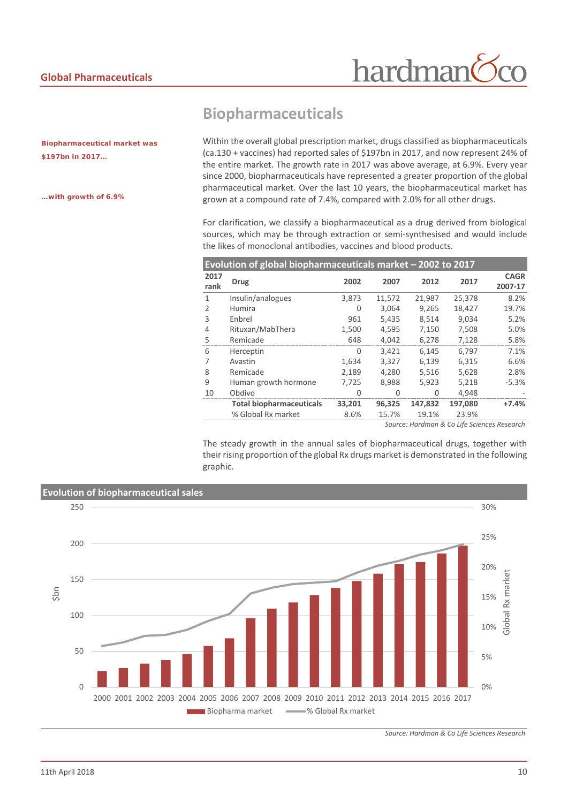hardman

*Biopharmaceutical market was \$197bn in 2017…*

*…with growth of 6.9%*

#### <span id="page-9-0"></span>**Biopharmaceuticals**

Within the overall global prescription market, drugs classified as biopharmaceuticals (ca.130 + vaccines) had reported sales of \$197bn in 2017, and now represent 24% of the entire market. The growth rate in 2017 was above average, at 6.9%. Every year since 2000, biopharmaceuticals have represented a greater proportion of the global pharmaceutical market. Over the last 10 years, the biopharmaceutical market has grown at a compound rate of 7.4%, compared with 2.0% for all other drugs.

For clarification, we classify a biopharmaceutical as a drug derived from biological sources, which may be through extraction or semi-synthesised and would include the likes of monoclonal antibodies, vaccines and blood products.

| Evolution of global biopharmaceuticals market - 2002 to 2017 |                                 |        |        |         |         |                        |  |  |
|--------------------------------------------------------------|---------------------------------|--------|--------|---------|---------|------------------------|--|--|
| 2017<br>rank                                                 | <b>Drug</b>                     | 2002   | 2007   | 2012    | 2017    | <b>CAGR</b><br>2007-17 |  |  |
| 1                                                            | Insulin/analogues               | 3.873  | 11,572 | 21,987  | 25,378  | 8.2%                   |  |  |
| $\mathcal{P}$                                                | Humira                          | 0      | 3,064  | 9,265   | 18,427  | 19.7%                  |  |  |
| 3                                                            | Enbrel                          | 961    | 5,435  | 8.514   | 9.034   | 5.2%                   |  |  |
| 4                                                            | Rituxan/MabThera                | 1,500  | 4,595  | 7,150   | 7,508   | 5.0%                   |  |  |
| 5                                                            | Remicade                        | 648    | 4,042  | 6,278   | 7,128   | 5.8%                   |  |  |
| 6                                                            | Herceptin                       | 0      | 3,421  | 6.145   | 6,797   | 7.1%                   |  |  |
| 7                                                            | Avastin                         | 1,634  | 3,327  | 6.139   | 6,315   | 6.6%                   |  |  |
| 8                                                            | Remicade                        | 2,189  | 4,280  | 5,516   | 5,628   | 2.8%                   |  |  |
| 9                                                            | Human growth hormone            | 7,725  | 8,988  | 5,923   | 5,218   | $-5.3%$                |  |  |
| 10                                                           | Obdivo                          | O      | U      | O       | 4,948   |                        |  |  |
|                                                              | <b>Total biopharmaceuticals</b> | 33,201 | 96,325 | 147.832 | 197,080 | $+7.4%$                |  |  |
|                                                              | % Global Rx market              | 8.6%   | 15.7%  | 19.1%   | 23.9%   |                        |  |  |
|                                                              |                                 |        |        |         |         |                        |  |  |

*Source: Hardman & Co Life Sciences Research*

The steady growth in the annual sales of biopharmaceutical drugs, together with their rising proportion of the global Rx drugs market is demonstrated in the following graphic.



*Source: Hardman & Co Life Sciences Research*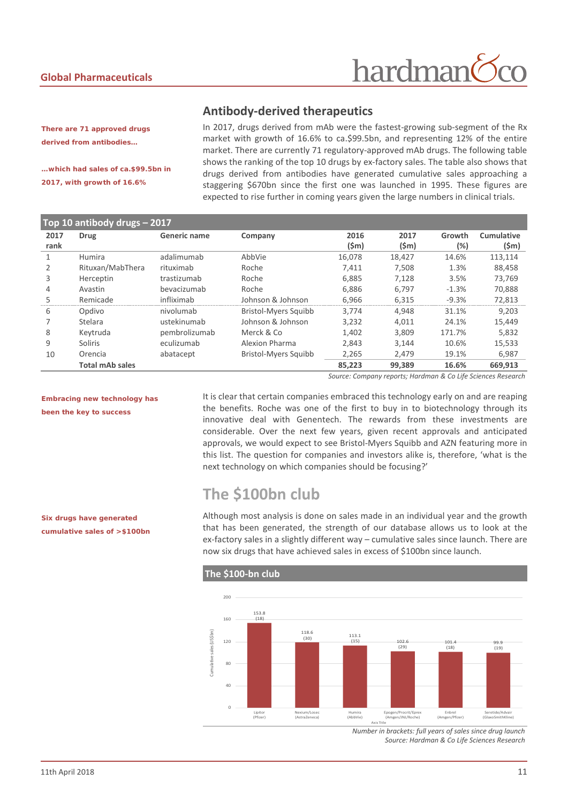### hardman

#### **Antibody-derived therapeutics**

*There are 71 approved drugs derived from antibodies…*

*…which had sales of ca.\$99.5bn in 2017, with growth of 16.6%*

In 2017, drugs derived from mAb were the fastest-growing sub-segment of the Rx market with growth of 16.6% to ca.\$99.5bn, and representing 12% of the entire market. There are currently 71 regulatory-approved mAb drugs. The following table shows the ranking of the top 10 drugs by ex-factory sales. The table also shows that drugs derived from antibodies have generated cumulative sales approaching a staggering \$670bn since the first one was launched in 1995. These figures are expected to rise further in coming years given the large numbers in clinical trials.

| Top 10 antibody drugs - 2017 |                        |               |                      |        |                 |         |            |  |
|------------------------------|------------------------|---------------|----------------------|--------|-----------------|---------|------------|--|
| 2017                         | <b>Drug</b>            | Generic name  | Company              | 2016   | 2017            | Growth  | Cumulative |  |
| rank                         |                        |               |                      | (Sm)   | $(\mathsf{Sm})$ | (%)     | $(\$m)$    |  |
|                              | Humira                 | adalimumab    | AbbVie               | 16.078 | 18.427          | 14.6%   | 113,114    |  |
|                              | Rituxan/MabThera       | rituximab     | Roche                | 7,411  | 7,508           | 1.3%    | 88,458     |  |
| 3                            | Herceptin              | trastizumab   | Roche                | 6.885  | 7.128           | 3.5%    | 73.769     |  |
| 4                            | Avastin                | bevacizumab   | Roche                | 6,886  | 6,797           | $-1.3%$ | 70,888     |  |
| 5                            | Remicade               | infliximab    | Johnson & Johnson    | 6,966  | 6,315           | $-9.3%$ | 72,813     |  |
| 6                            | Opdivo                 | nivolumab     | Bristol-Myers Squibb | 3.774  | 4.948           | 31.1%   | 9.203      |  |
|                              | Stelara                | ustekinumab   | Johnson & Johnson    | 3,232  | 4,011           | 24.1%   | 15,449     |  |
| 8                            | Keytruda               | pembrolizumab | Merck & Co           | 1,402  | 3.809           | 171.7%  | 5,832      |  |
| 9                            | Soliris                | eculizumab    | Alexion Pharma       | 2,843  | 3,144           | 10.6%   | 15,533     |  |
| 10                           | Orencia                | abatacept     | Bristol-Myers Squibb | 2,265  | 2,479           | 19.1%   | 6,987      |  |
|                              | <b>Total mAb sales</b> |               |                      | 85,223 | 99,389          | 16.6%   | 669,913    |  |

*Source: Company reports; Hardman & Co Life Sciences Research*

*Embracing new technology has been the key to success*

It is clear that certain companies embraced this technology early on and are reaping the benefits. Roche was one of the first to buy in to biotechnology through its innovative deal with Genentech. The rewards from these investments are considerable. Over the next few years, given recent approvals and anticipated approvals, we would expect to see Bristol-Myers Squibb and AZN featuring more in this list. The question for companies and investors alike is, therefore, 'what is the next technology on which companies should be focusing?'

#### <span id="page-10-0"></span>**The \$100bn club**

**The \$100-bn club**

Although most analysis is done on sales made in an individual year and the growth that has been generated, the strength of our database allows us to look at the ex-factory sales in a slightly different way – cumulative sales since launch. There are now six drugs that have achieved sales in excess of \$100bn since launch.



*Number in brackets: full years of sales since drug launch Source: Hardman & Co Life Sciences Research*

*Six drugs have generated cumulative sales of >\$100bn*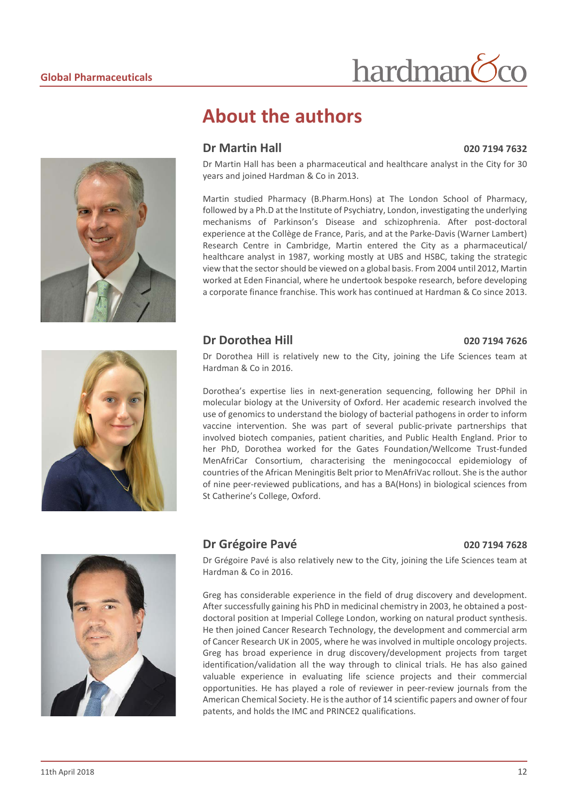

#### <span id="page-11-0"></span>**About the authors**

#### **Dr Martin Hall 020 7194 7632**

Dr Martin Hall has been a pharmaceutical and healthcare analyst in the City for 30 years and joined Hardman & Co in 2013.

hardman

Martin studied Pharmacy (B.Pharm.Hons) at The London School of Pharmacy, followed by a Ph.D at the Institute of Psychiatry, London, investigating the underlying mechanisms of Parkinson's Disease and schizophrenia. After post-doctoral experience at the Collège de France, Paris, and at the Parke-Davis (Warner Lambert) Research Centre in Cambridge, Martin entered the City as a pharmaceutical/ healthcare analyst in 1987, working mostly at UBS and HSBC, taking the strategic view that the sector should be viewed on a global basis. From 2004 until 2012, Martin worked at Eden Financial, where he undertook bespoke research, before developing a corporate finance franchise. This work has continued at Hardman & Co since 2013.

#### **Dr Dorothea Hill 020 7194 7626**



Dr Dorothea Hill is relatively new to the City, joining the Life Sciences team at Hardman & Co in 2016.

Dorothea's expertise lies in next-generation sequencing, following her DPhil in molecular biology at the University of Oxford. Her academic research involved the use of genomics to understand the biology of bacterial pathogens in order to inform vaccine intervention. She was part of several public-private partnerships that involved biotech companies, patient charities, and Public Health England. Prior to her PhD, Dorothea worked for the Gates Foundation/Wellcome Trust-funded MenAfriCar Consortium, characterising the meningococcal epidemiology of countries of the African Meningitis Belt prior to MenAfriVac rollout. She is the author of nine peer-reviewed publications, and has a BA(Hons) in biological sciences from St Catherine's College, Oxford.



#### **Dr Grégoire Pavé 020 7194 7628**

Dr Grégoire Pavé is also relatively new to the City, joining the Life Sciences team at Hardman & Co in 2016.

Greg has considerable experience in the field of drug discovery and development. After successfully gaining his PhD in medicinal chemistry in 2003, he obtained a postdoctoral position at Imperial College London, working on natural product synthesis. He then joined Cancer Research Technology, the development and commercial arm of Cancer Research UK in 2005, where he was involved in multiple oncology projects. Greg has broad experience in drug discovery/development projects from target identification/validation all the way through to clinical trials. He has also gained valuable experience in evaluating life science projects and their commercial opportunities. He has played a role of reviewer in peer-review journals from the American Chemical Society. He isthe author of 14 scientific papers and owner of four patents, and holds the IMC and PRINCE2 qualifications.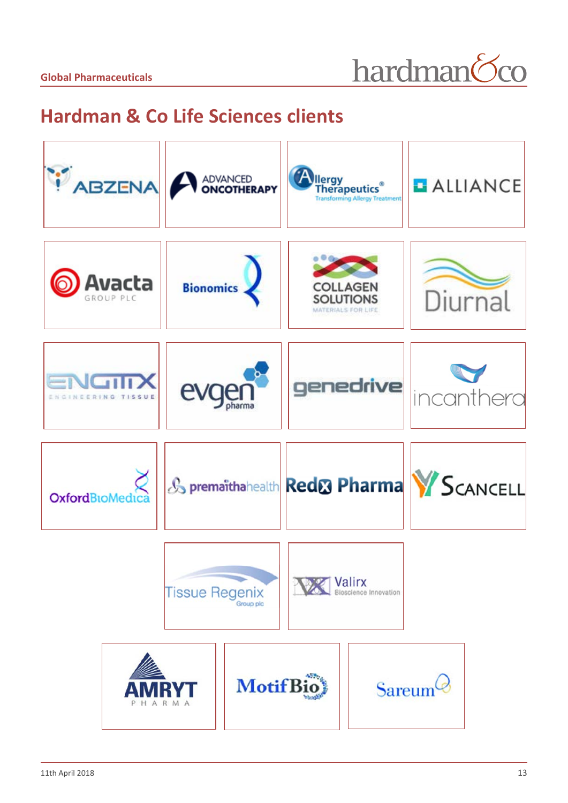hardman<sup>6</sup>co

### <span id="page-12-0"></span>**Hardman & Co Life Sciences clients**

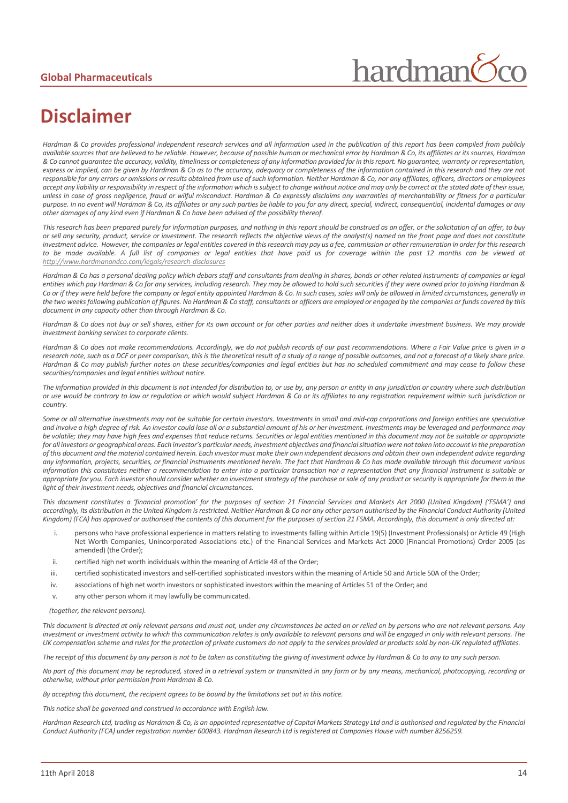## hardman

### <span id="page-13-0"></span>**Disclaimer**

*Hardman & Co provides professional independent research services and all information used in the publication of this report has been compiled from publicly available sources that are believed to be reliable. However, because of possible human or mechanical error by Hardman & Co, its affiliates or its sources, Hardman & Co cannot guarantee the accuracy, validity, timeliness or completeness of any information provided for in this report. No guarantee, warranty or representation, express or implied, can be given by Hardman & Co as to the accuracy, adequacy or completeness of the information contained in this research and they are not responsible for any errors or omissions or results obtained from use of such information. Neither Hardman & Co, nor any affiliates, officers, directors or employees accept any liability or responsibility in respect of the information which is subject to change without notice and may only be correct at the stated date of their issue, unless in case of gross negligence, fraud or wilful misconduct. Hardman & Co expressly disclaims any warranties of merchantability or fitness for a particular purpose. In no event will Hardman & Co, its affiliates or any such parties be liable to you for any direct, special, indirect, consequential, incidental damages or any other damages of any kind even if Hardman & Co have been advised of the possibility thereof.* 

*This research has been prepared purely for information purposes, and nothing in this report should be construed as an offer, or the solicitation of an offer, to buy or sell any security, product, service or investment. The research reflects the objective views of the analyst(s) named on the front page and does not constitute investment advice. However, the companies or legal entities covered in this research may pay us a fee, commission or other remuneration in order for this research to be made available. A full list of companies or legal entities that have paid us for coverage within the past 12 months can be viewed at <http://www.hardmanandco.com/legals/research-disclosures>*

Hardman & Co has a personal dealing policy which debars staff and consultants from dealing in shares, bonds or other related instruments of companies or legal *entities which pay Hardman & Co for any services, including research. They may be allowed to hold such securities if they were owned prior to joining Hardman &*  Co or if they were held before the company or legal entity appointed Hardman & Co. In such cases, sales will only be allowed in limited circumstances, generally in *the two weeks following publication of figures. No Hardman & Co staff, consultants or officers are employed or engaged by the companies or funds covered by this document in any capacity other than through Hardman & Co.* 

*Hardman & Co does not buy or sell shares, either for its own account or for other parties and neither does it undertake investment business. We may provide investment banking services to corporate clients.* 

*Hardman & Co does not make recommendations. Accordingly, we do not publish records of our past recommendations. Where a Fair Value price is given in a research note, such as a DCF or peer comparison, this is the theoretical result of a study of a range of possible outcomes, and not a forecast of a likely share price. Hardman & Co may publish further notes on these securities/companies and legal entities but has no scheduled commitment and may cease to follow these securities/companies and legal entities without notice.*

*The information provided in this document is not intended for distribution to, or use by, any person or entity in any jurisdiction or country where such distribution or use would be contrary to law or regulation or which would subject Hardman & Co or its affiliates to any registration requirement within such jurisdiction or country.* 

Some or all alternative investments may not be suitable for certain investors. Investments in small and mid-cap corporations and foreign entities are speculative *and involve a high degree of risk. An investor could lose all or a substantial amount of his or her investment. Investments may be leveraged and performance may be volatile; they may have high fees and expenses that reduce returns. Securities or legal entities mentioned in this document may not be suitable or appropriate*  for all investors or geographical areas. Each investor's particular needs, investment objectives and financial situation were not taken into account in the preparation *of this document and the material contained herein. Each investor must make their own independent decisions and obtain their own independent advice regarding any information, projects, securities, or financial instruments mentioned herein. The fact that Hardman & Co has made available through this document various information this constitutes neither a recommendation to enter into a particular transaction nor a representation that any financial instrument is suitable or*  appropriate for you. Each investor should consider whether an investment strategy of the purchase or sale of any product or security is appropriate for them in the *light of their investment needs, objectives and financial circumstances.* 

*This document constitutes a 'financial promotion' for the purposes of section 21 Financial Services and Markets Act 2000 (United Kingdom) ('FSMA') and accordingly, its distribution in the United Kingdom is restricted. Neither Hardman & Co nor any other person authorised by the Financial Conduct Authority (United Kingdom) (FCA) has approved or authorised the contents of this document for the purposes of section 21 FSMA. Accordingly, this document is only directed at:*

- i. persons who have professional experience in matters relating to investments falling within Article 19(5) (Investment Professionals) or Article 49 (High Net Worth Companies, Unincorporated Associations etc.) of the Financial Services and Markets Act 2000 (Financial Promotions) Order 2005 (as amended) (the Order);
- ii. certified high net worth individuals within the meaning of Article 48 of the Order;
- iii. certified sophisticated investors and self-certified sophisticated investors within the meaning of Article 50 and Article 50A of the Order;
- iv. associations of high net worth investors or sophisticated investors within the meaning of Articles 51 of the Order; and
- v. any other person whom it may lawfully be communicated.

#### *(together, the relevant persons).*

*This document is directed at only relevant persons and must not, under any circumstances be acted on or relied on by persons who are not relevant persons. Any investment or investment activity to which this communication relates is only available to relevant persons and will be engaged in only with relevant persons. The UK compensation scheme and rules for the protection of private customers do not apply to the services provided or products sold by non-UK regulated affiliates.* 

*The receipt of this document by any person is not to be taken as constituting the giving of investment advice by Hardman & Co to any to any such person.* 

*No part of this document may be reproduced, stored in a retrieval system or transmitted in any form or by any means, mechanical, photocopying, recording or otherwise, without prior permission from Hardman & Co.*

*By accepting this document, the recipient agrees to be bound by the limitations set out in this notice.* 

*This notice shall be governed and construed in accordance with English law.* 

*Hardman Research Ltd, trading as Hardman & Co, is an appointed representative of Capital Markets Strategy Ltd and is authorised and regulated by the Financial Conduct Authority (FCA) under registration number 600843. Hardman Research Ltd is registered at Companies House with number 8256259.*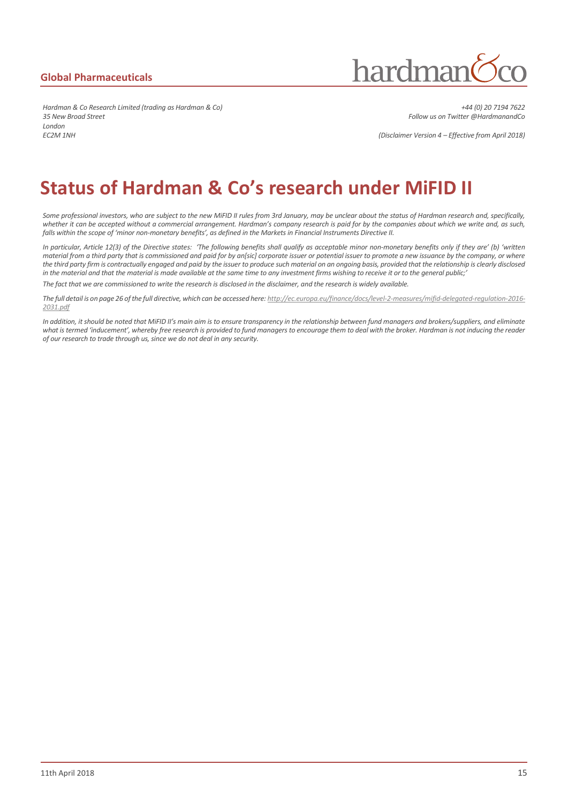hardman

*Hardman & Co Research Limited (trading as Hardman & Co) +44 (0) 20 7194 7622 35 New Broad Street Follow us on Twitter @HardmanandCo London EC2M 1NH (Disclaimer Version 4 – Effective from April 2018)*

#### **Status of Hardman & Co's research under MiFID II**

*Some professional investors, who are subject to the new MiFID II rules from 3rd January, may be unclear about the status of Hardman research and, specifically, whether it can be accepted without a commercial arrangement. Hardman's company research is paid for by the companies about which we write and, as such, falls within the scope of 'minor non-monetary benefits', as defined in the Markets in Financial Instruments Directive II.*

*In particular, Article 12(3) of the Directive states: 'The following benefits shall qualify as acceptable minor non-monetary benefits only if they are' (b) 'written material from a third party that is commissioned and paid for by an[sic] corporate issuer or potential issuer to promote a new issuance by the company, or where*  the third party firm is contractually engaged and paid by the issuer to produce such material on an ongoing basis, provided that the relationship is clearly disclosed *in the material and that the material is made available at the same time to any investment firms wishing to receive it or to the general public;'*

The fact that we are commissioned to write the research is disclosed in the disclaimer, and the research is widely available.

*The full detail is on page 26 of the full directive, which can be accessed here: http://ec.europa.eu/finance/docs/level-2-measures/mifid-delegated-regulation-2016- 2031.pdf*

In addition, it should be noted that MiFID II's main aim is to ensure transparency in the relationship between fund managers and brokers/suppliers, and eliminate *what is termed 'inducement', whereby free research is provided to fund managers to encourage them to deal with the broker. Hardman is not inducing the reader of our research to trade through us, since we do not deal in any security.*